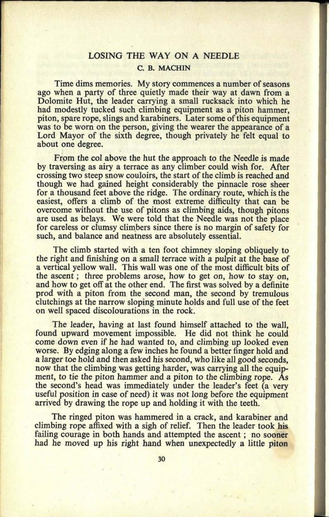## LOSING THE WAY ON A NEEDLE C. B. MACHIN

**34. 0434**

Time dims memories. My story commences a number of seasons ago when a party of three quietly made their way at dawn from a Dolomite Hut, the leader carrying a small rucksack into which he had modestly tucked such climbing equipment as a piton hammer, piton, spare rope, slings and karabiners. Later some of this equipment was to be worn on the person, giving the wearer the appearance of a Lord Mayor of the sixth degree, though privately he felt equal to about one degree.

From the col above the hut the approach to the Needle is made by traversing as airy a terrace as any climber could wish for. After crossing two steep snow couloirs, the start of the climb is reached and though we had gained height considerably the pinnacle rose sheer for a thousand feet above the ridge. The ordinary route, which is the easiest, offers a climb of the most extreme difficulty that can be overcome without the use of pitons as climbing aids, though pitons are used as belays. We were told that the Needle was not the place for careless or clumsy climbers since there is no margin of safety for such, and balance and neatness are absolutely essential.

The climb started with a ten foot chimney sloping obliquely to the right and finishing on a small terrace with a pulpit at the base of <sup>a</sup>vertical yellow wall. This wall was one of the most difficult bits of the ascent; three problems arose, how to get on, how to stay on, and how to get off at the other end. The first was solved by a definite prod with a piton from the second man, the second by tremulous clutchings at the narrow sloping minute holds and full use of the feet on well spaced discolourations in the rock.

The leader, having at last found himself attached to the wall, found upward movement impossible. He did not think he could come down even if he had wanted to, and climbing up looked even worse. By edging along a few inches he found a better finger hold and a larger toe hold and then asked his second, who like all good seconds, now that the climbing was getting harder, was carrying all the equipment, to tie the piton hammer and a piton to the climbing rope. As the second's head was immediately under the leader's feet (a very useful position in case of need) it was not long before the equipment arrived by drawing the rope up and holding it with the teeth.

The ringed piton was hammered in a crack, and karabiner and climbing rope affixed with a sigh of relief. Then the leader took his failing courage in both hands and attempted the ascent; no sooner had he moved up his right hand when unexpectedly a little piton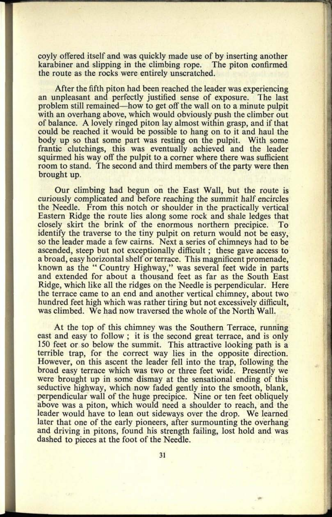coyly offered itself and was quickly made use of by inserting another<br>karabiner and slipping in the climbing rope. The piton confirmed karabiner and slipping in the climbing rope. the route as the rocks were entirely unscratched.

After the fifth piton had been reached the leader was experiencing an unpleasant and perfectly justified sense of exposure. The last problem still remained how to get off the wall on to a minute pulpit with an overhang above, which would obviously push the climber out of balance. A lovely ringed piton lay almost within grasp, and if that could be reached it would be possible to hang on to it and haul the body up so that some part was resting on the pulpit. With some frantic clutchings, this was eventually achieved and the leader squirmed his way off the pulpit to a corner where there was sufficient room to stand. The second and third members of the party were then brought up.

Our climbing had begun on the East Wall, but the route is curiously complicated and before reaching the summit half encircles the Needle. From this notch or shoulder in the practically vertical Eastern Ridge the route lies along some rock and shale ledges that closely skirt the brink of the enormous northern precipice. To closely skirt the brink of the enormous northern precipice. identify the traverse to the tiny pulpit on return would not be easy, so the leader made a few cairns. Next a series of chimneys had to be ascended, steep but not exceptionally difficult; these gave access to <sup>a</sup>broad, easy horizontal shelf or terrace. This magnificent promenade, known as the " Country Highway," was several feet wide in parts and extended for about a thousand feet as far as the South East Ridge, which like all the ridges on the Needle is perpendicular. Here the terrace came to an end and another vertical chimney, about two hundred feet high which was rather tiring but not excessively difficult, was climbed. We had now traversed the whole of the North Wall.

At the top of this chimney was the Southern Terrace, running east and easy to follow; it is the second great terrace, and is only 150 feet or so below the summit. This attractive looking path is a terrible trap, for the correct way lies in the opposite direction. However, on this ascent the leader fell into the trap, following the broad easy terrace which was two or three feet wide. Presently we were brought up in some dismay at the sensational ending of this seductive highway, which now faded gently into the smooth, blank, perpendicular wall of the huge precipice. Nine or ten feet obliquely above was a piton, which would need a shoulder to reach, and the leader would have to lean out sideways over the drop. We learned later that one of the early pioneers, after surmounting the overhang and driving in pitons, found his strength failing, lost hold and was dashed to pieces at the foot of the Needle.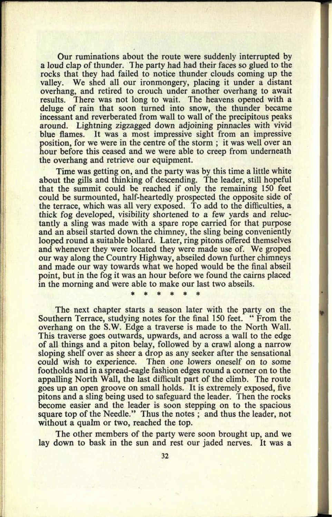**Our** ruminations about the route were suddenly interrupted by <sup>a</sup>loud clap of thunder. The party had had their faces so glued to the rocks that they had failed to notice thunder clouds coming up the valley. We shed all our ironmongery, placing it under a distant overhang, and retired to crouch under another overhang to await results. There was not long to wait. The heavens opened with <sup>a</sup> deluge of rain that soon turned into snow, the thunder became incessant and reverberated from wall to wall of the precipitous peaks around. Lightning zigzagged down adjoining pinnacles with vivid It was a most impressive sight from an impressive position, for we were in the centre of the storm ; it was well over an hour before this ceased and we were able to creep from underneath the overhang and retrieve our equipment.

Time was getting on, and the party was by this time a little white about the gills and thinking of descending. The leader, still hopeful that the summit could be reached if only the remaining 150 feet could be surmounted, half-heartedly prospected the opposite side of the terrace, which was all very exposed. To add to the difficulties, <sup>a</sup> thick fog developed, visibility shortened to a few yards and reluctantly a sling was made with a spare rope carried for that purpose and an abseil started down the chimney, the sling being conveniently looped round a suitable bollard. Later, ring pitons offered themselves and whenever they were located they were made use of. We groped our way along the Country Highway, abseiled down further chimneys and made our way towards what we hoped would be the final abseil point, but in the fog it was an hour before we found the cairns placed in the morning and were able to make our last two abseils.

The next chapter starts a season later with the party on the Southern Terrace, studying notes for the final 150 feet. " From the overhang on the S.W. Edge a traverse is made to the North Wall. This traverse goes outwards, upwards, and across a wall to the edge of all things and a piton belay, followed by a crawl along a narrow sloping shelf over as sheer a drop as any seeker after the sensational could wish to experience. Then one lowers oneself on to some footholds and in a spread-eagle fashion edges round a corner on to the appalling North Wall, the last difficult part of the climb. The route goes up an open groove on small holds. It is extremely exposed, five pitons and a sling being used to safeguard the leader. Then the rocks become easier and the leader is soon stepping on to the spacious square top of the Needle." Thus the notes; and thus the leader, not without a qualm or two, reached the top.

The other members of the party were soon brought up, and we lay down to bask in the sun and rest our jaded nerves. It was a